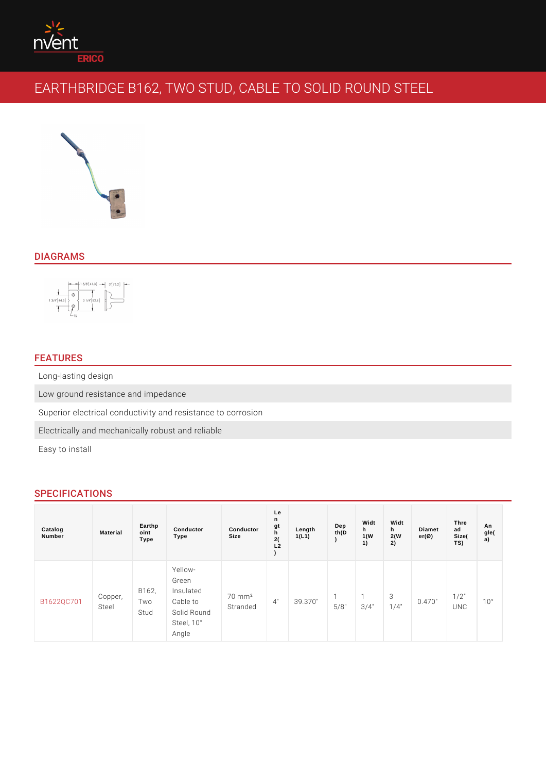# DIAGRAMS

# FEATURES

Long-lasting design

Low ground resistance and impedance

Superior electrical conductivity and resistance to corrosion

Electrically and mechanically robust and reliable

Easy to install

## SPECIFICATIONS

| Catalog<br>Number                                                                                                                                              | Material | Earthp<br>oint<br>Type | Conductor<br>Type                                                                                                | Conductor<br>Size | Le<br>n<br>gt<br>h<br>2(<br>L2 | Length<br>1(L1) | Dep<br>th(D) | Widt<br>h<br>1(W)<br>1) | Widt<br>h<br>2(W)<br>2) | Diamet<br>$er(\emptyset)$ | Thre<br>ad<br>Size(<br>TS) | An<br>gle(<br>a) |
|----------------------------------------------------------------------------------------------------------------------------------------------------------------|----------|------------------------|------------------------------------------------------------------------------------------------------------------|-------------------|--------------------------------|-----------------|--------------|-------------------------|-------------------------|---------------------------|----------------------------|------------------|
| $\begin{array}{c c c c c} \hline \text{B} & \text{16220C7} & \text{Copper,} & \text{Two} \\ \hline \text{B} & \text{Bfee1} & \text{Two} \\ \hline \end{array}$ |          | B 1 6 2,<br>Stud       | Yellow-<br>Green<br>Insulated<br>Cable to Stranded<br>Solid Round<br>Solid Round<br>Steel, $10^{\circ}$<br>Angle |                   |                                |                 |              |                         |                         | $0.470^{+1/2^{+}}$<br>UNC |                            | 10°              |